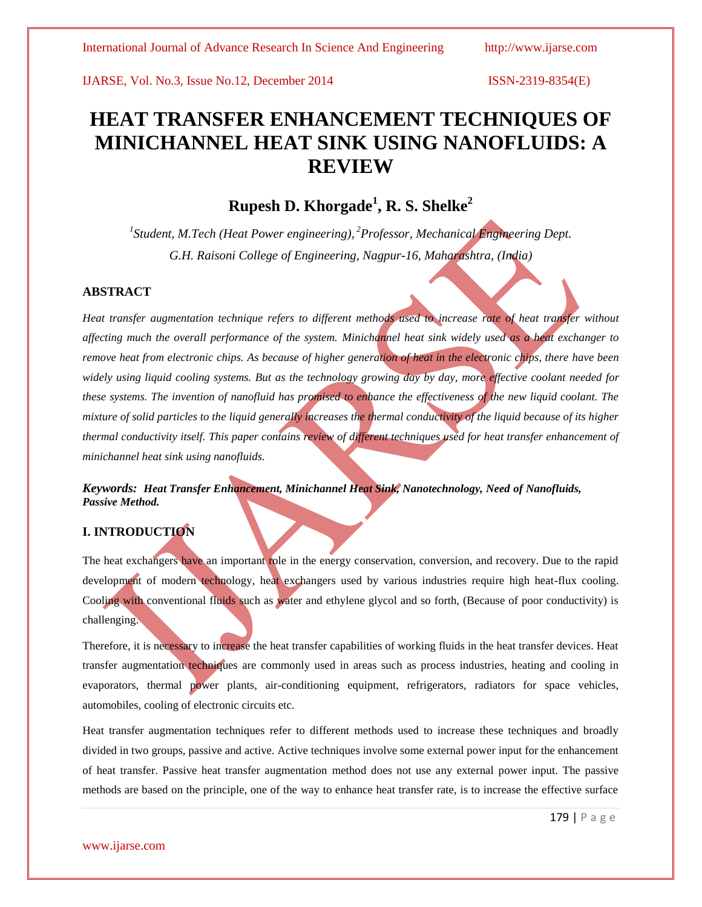# **HEAT TRANSFER ENHANCEMENT TECHNIQUES OF MINICHANNEL HEAT SINK USING NANOFLUIDS: A REVIEW**

## **Rupesh D. Khorgade<sup>1</sup> , R. S. Shelke<sup>2</sup>**

*1 Student, M.Tech (Heat Power engineering), <sup>2</sup>Professor, Mechanical Engineering Dept. G.H. Raisoni College of Engineering, Nagpur-16, Maharashtra, (India)*

### **ABSTRACT**

*Heat transfer augmentation technique refers to different methods used to increase rate of heat transfer without affecting much the overall performance of the system. Minichannel heat sink widely used as a heat exchanger to remove heat from electronic chips. As because of higher generation of heat in the electronic chips, there have been widely using liquid cooling systems. But as the technology growing day by day, more effective coolant needed for these systems. The invention of nanofluid has promised to enhance the effectiveness of the new liquid coolant. The mixture of solid particles to the liquid generally increases the thermal conductivity of the liquid because of its higher thermal conductivity itself. This paper contains review of different techniques used for heat transfer enhancement of minichannel heat sink using nanofluids.*

### *Keywords: Heat Transfer Enhancement, Minichannel Heat Sink, Nanotechnology, Need of Nanofluids, Passive Method.*

### **I. INTRODUCTION**

The heat exchangers have an important role in the energy conservation, conversion, and recovery. Due to the rapid development of modern technology, heat exchangers used by various industries require high heat-flux cooling. Cooling with conventional fluids such as water and ethylene glycol and so forth, (Because of poor conductivity) is challenging.

Therefore, it is necessary to increase the heat transfer capabilities of working fluids in the heat transfer devices. Heat transfer augmentation techniques are commonly used in areas such as process industries, heating and cooling in evaporators, thermal power plants, air-conditioning equipment, refrigerators, radiators for space vehicles, automobiles, cooling of electronic circuits etc.

Heat transfer augmentation techniques refer to different methods used to increase these techniques and broadly divided in two groups, passive and active. Active techniques involve some external power input for the enhancement of heat transfer. Passive heat transfer augmentation method does not use any external power input. The passive methods are based on the principle, one of the way to enhance heat transfer rate, is to increase the effective surface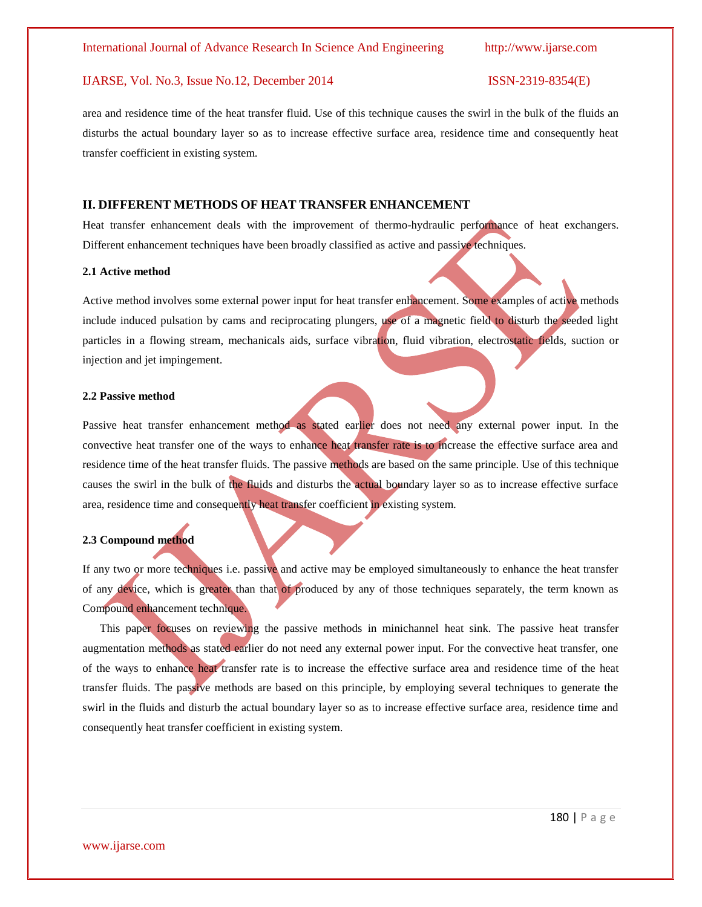area and residence time of the heat transfer fluid. Use of this technique causes the swirl in the bulk of the fluids an disturbs the actual boundary layer so as to increase effective surface area, residence time and consequently heat transfer coefficient in existing system.

### **II. DIFFERENT METHODS OF HEAT TRANSFER ENHANCEMENT**

Heat transfer enhancement deals with the improvement of thermo-hydraulic performance of heat exchangers. Different enhancement techniques have been broadly classified as active and passive techniques.

#### **2.1 Active method**

Active method involves some external power input for heat transfer enhancement. Some examples of active methods include induced pulsation by cams and reciprocating plungers, use of a magnetic field to disturb the seeded light particles in a flowing stream, mechanicals aids, surface vibration, fluid vibration, electrostatic fields, suction or injection and jet impingement.

#### **2.2 Passive method**

Passive heat transfer enhancement method as stated earlier does not need any external power input. In the convective heat transfer one of the ways to enhance heat transfer rate is to increase the effective surface area and residence time of the heat transfer fluids. The passive methods are based on the same principle. Use of this technique causes the swirl in the bulk of the fluids and disturbs the actual boundary layer so as to increase effective surface area, residence time and consequently heat transfer coefficient in existing system.

#### **2.3 Compound method**

If any two or more techniques i.e. passive and active may be employed simultaneously to enhance the heat transfer of any device, which is greater than that of produced by any of those techniques separately, the term known as Compound enhancement technique.

 This paper focuses on reviewing the passive methods in minichannel heat sink. The passive heat transfer augmentation methods as stated earlier do not need any external power input. For the convective heat transfer, one of the ways to enhance heat transfer rate is to increase the effective surface area and residence time of the heat transfer fluids. The passive methods are based on this principle, by employing several techniques to generate the swirl in the fluids and disturb the actual boundary layer so as to increase effective surface area, residence time and consequently heat transfer coefficient in existing system.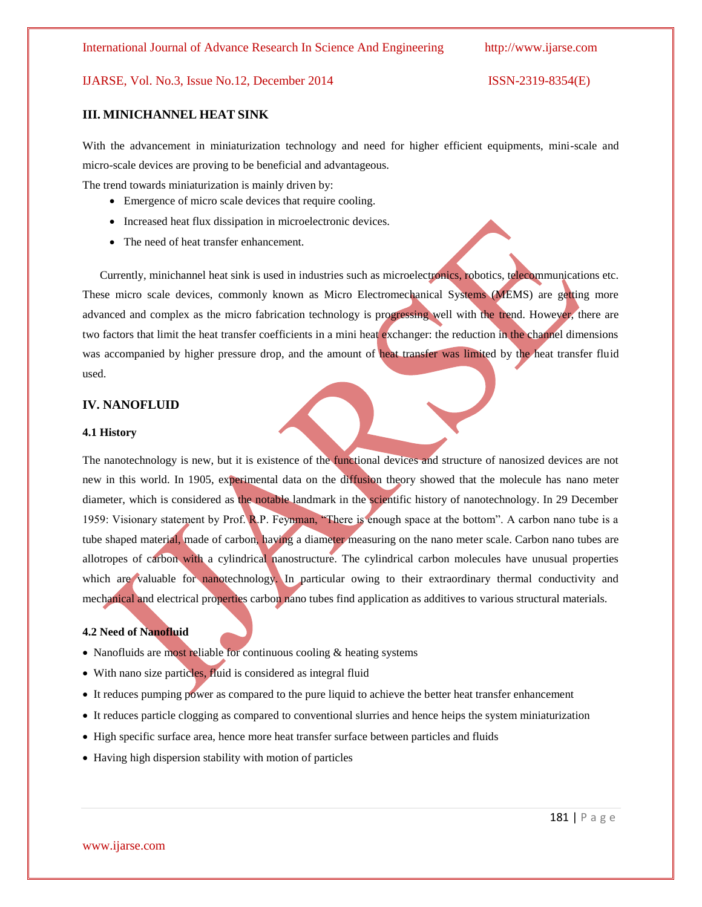### **III. MINICHANNEL HEAT SINK**

With the advancement in miniaturization technology and need for higher efficient equipments, mini-scale and micro-scale devices are proving to be beneficial and advantageous.

The trend towards miniaturization is mainly driven by:

- Emergence of micro scale devices that require cooling.
- Increased heat flux dissipation in microelectronic devices.
- The need of heat transfer enhancement.

 Currently, minichannel heat sink is used in industries such as microelectronics, robotics, telecommunications etc. These micro scale devices, commonly known as Micro Electromechanical Systems (MEMS) are getting more advanced and complex as the micro fabrication technology is progressing well with the trend. However, there are two factors that limit the heat transfer coefficients in a mini heat exchanger: the reduction in the channel dimensions was accompanied by higher pressure drop, and the amount of heat transfer was limited by the heat transfer fluid used.

#### **IV. NANOFLUID**

#### **4.1 History**

The nanotechnology is new, but it is existence of the functional devices and structure of nanosized devices are not new in this world. In 1905, experimental data on the diffusion theory showed that the molecule has nano meter diameter, which is considered as the notable landmark in the scientific history of nanotechnology. In 29 December 1959: Visionary statement by Prof. R.P. Feynman, "There is enough space at the bottom". A carbon nano tube is a tube shaped material, made of carbon, having a diameter measuring on the nano meter scale. Carbon nano tubes are allotropes of carbon with a cylindrical nanostructure. The cylindrical carbon molecules have unusual properties which are valuable for nanotechnology. In particular owing to their extraordinary thermal conductivity and mechanical and electrical properties carbon nano tubes find application as additives to various structural materials.

#### **4.2 Need of Nanofluid**

- Nanofluids are most reliable for continuous cooling  $&$  heating systems
- With nano size particles, fluid is considered as integral fluid
- It reduces pumping power as compared to the pure liquid to achieve the better heat transfer enhancement
- t reduces particle clogging as compared to conventional slurries and hence heips the system miniaturization
- High specific surface area, hence more heat transfer surface between particles and fluids
- Having high dispersion stability with motion of particles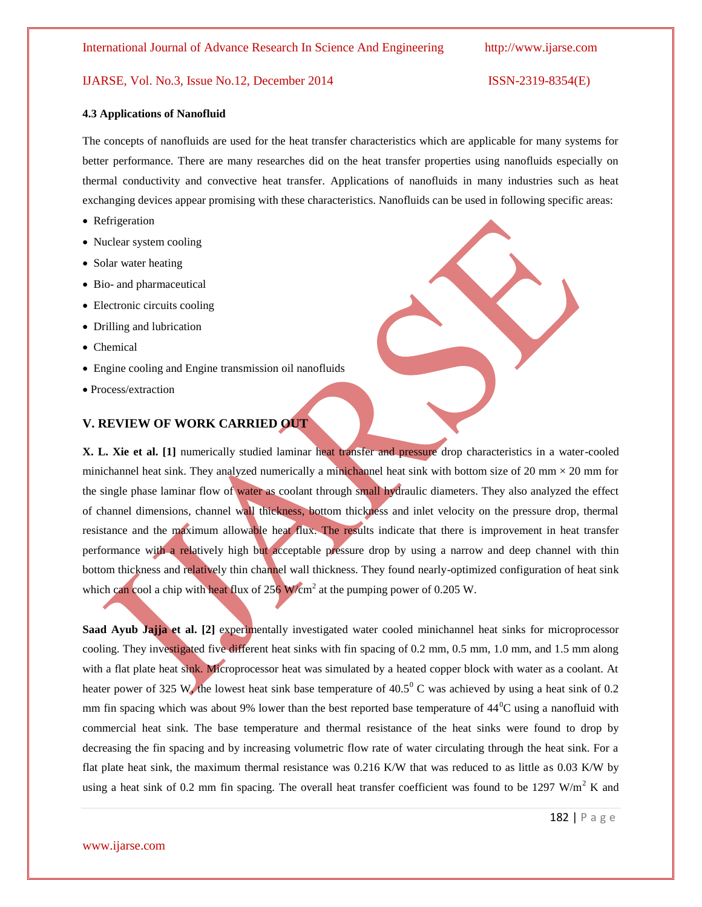#### **4.3 Applications of Nanofluid**

The concepts of nanofluids are used for the heat transfer characteristics which are applicable for many systems for better performance. There are many researches did on the heat transfer properties using nanofluids especially on thermal conductivity and convective heat transfer. Applications of nanofluids in many industries such as heat exchanging devices appear promising with these characteristics. Nanofluids can be used in following specific areas:

- Refrigeration
- Nuclear system cooling
- Solar water heating
- Bio- and pharmaceutical
- Electronic circuits cooling
- Drilling and lubrication
- Chemical
- Engine cooling and Engine transmission oil nanofluids
- Process/extraction

### **V. REVIEW OF WORK CARRIED OUT**

**X. L. Xie et al. [1]** numerically studied laminar heat transfer and pressure drop characteristics in a water-cooled minichannel heat sink. They analyzed numerically a minichannel heat sink with bottom size of 20 mm  $\times$  20 mm for the single phase laminar flow of water as coolant through small hydraulic diameters. They also analyzed the effect of channel dimensions, channel wall thickness, bottom thickness and inlet velocity on the pressure drop, thermal resistance and the maximum allowable heat flux. The results indicate that there is improvement in heat transfer performance with a relatively high but acceptable pressure drop by using a narrow and deep channel with thin bottom thickness and relatively thin channel wall thickness. They found nearly-optimized configuration of heat sink which can cool a chip with heat flux of  $256$  W/cm<sup>2</sup> at the pumping power of 0.205 W.

**Saad Ayub Jajja et al.** [2] experimentally investigated water cooled minichannel heat sinks for microprocessor cooling. They investigated five different heat sinks with fin spacing of 0.2 mm, 0.5 mm, 1.0 mm, and 1.5 mm along with a flat plate heat sink. Microprocessor heat was simulated by a heated copper block with water as a coolant. At heater power of 325 W, the lowest heat sink base temperature of  $40.5^{\circ}$  C was achieved by using a heat sink of 0.2 mm fin spacing which was about 9% lower than the best reported base temperature of  $44^{\circ}$ C using a nanofluid with commercial heat sink. The base temperature and thermal resistance of the heat sinks were found to drop by decreasing the fin spacing and by increasing volumetric flow rate of water circulating through the heat sink. For a flat plate heat sink, the maximum thermal resistance was 0.216 K/W that was reduced to as little as 0.03 K/W by using a heat sink of 0.2 mm fin spacing. The overall heat transfer coefficient was found to be 1297 W/m<sup>2</sup> K and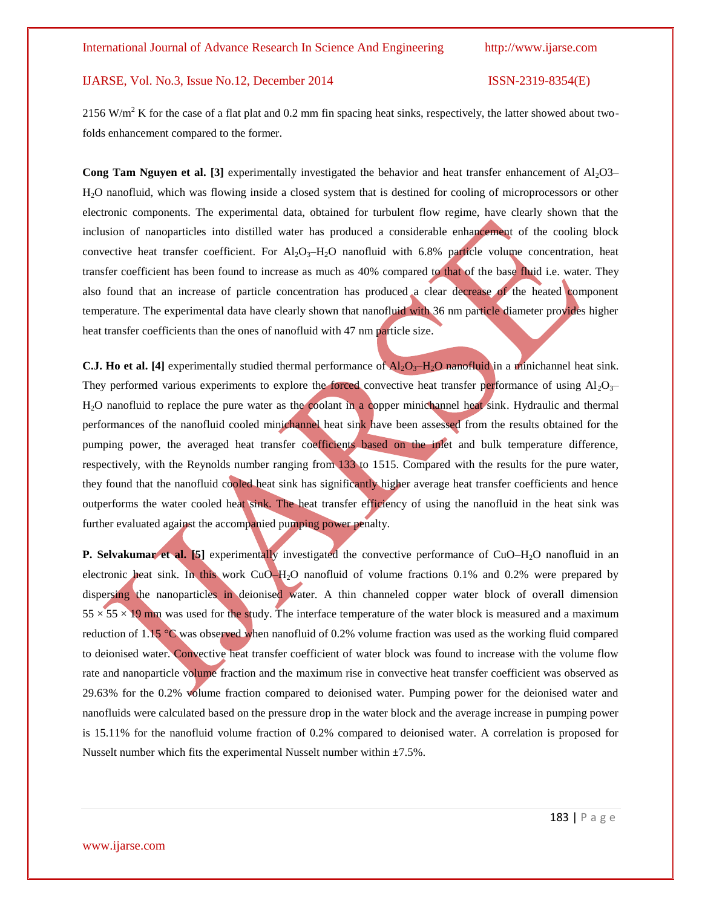$2156$  W/m<sup>2</sup> K for the case of a flat plat and 0.2 mm fin spacing heat sinks, respectively, the latter showed about twofolds enhancement compared to the former.

**Cong Tam Nguyen et al. [3]** experimentally investigated the behavior and heat transfer enhancement of Al<sub>2</sub>O3– H2O nanofluid, which was flowing inside a closed system that is destined for cooling of microprocessors or other electronic components. The experimental data, obtained for turbulent flow regime, have clearly shown that the inclusion of nanoparticles into distilled water has produced a considerable enhancement of the cooling block convective heat transfer coefficient. For  $Al_2O_3-H_2O$  nanofluid with 6.8% particle volume concentration, heat transfer coefficient has been found to increase as much as 40% compared to that of the base fluid i.e. water. They also found that an increase of particle concentration has produced a clear decrease of the heated component temperature. The experimental data have clearly shown that nanofluid with 36 nm particle diameter provides higher heat transfer coefficients than the ones of nanofluid with 47 nm particle size.

**C.J. Ho et al.** [4] experimentally studied thermal performance of  $A_2O_3-H_2O$  nanofluid in a minichannel heat sink. They performed various experiments to explore the forced convective heat transfer performance of using  $Al_2O_3$ H2O nanofluid to replace the pure water as the coolant in a copper minichannel heat sink. Hydraulic and thermal performances of the nanofluid cooled minichannel heat sink have been assessed from the results obtained for the pumping power, the averaged heat transfer coefficients based on the inlet and bulk temperature difference, respectively, with the Reynolds number ranging from 133 to 1515. Compared with the results for the pure water, they found that the nanofluid cooled heat sink has significantly higher average heat transfer coefficients and hence outperforms the water cooled heat sink. The heat transfer efficiency of using the nanofluid in the heat sink was further evaluated against the accompanied pumping power penalty.

**P. Selvakumar et al. [5]** experimentally investigated the convective performance of CuO–H<sub>2</sub>O nanofluid in an electronic heat sink. In this work CuO–H<sub>2</sub>O nanofluid of volume fractions 0.1% and 0.2% were prepared by dispersing the nanoparticles in deionised water. A thin channeled copper water block of overall dimension  $55 \times 55 \times 19$  mm was used for the study. The interface temperature of the water block is measured and a maximum reduction of 1.15 °C was observed when nanofluid of 0.2% volume fraction was used as the working fluid compared to deionised water. Convective heat transfer coefficient of water block was found to increase with the volume flow rate and nanoparticle volume fraction and the maximum rise in convective heat transfer coefficient was observed as 29.63% for the 0.2% volume fraction compared to deionised water. Pumping power for the deionised water and nanofluids were calculated based on the pressure drop in the water block and the average increase in pumping power is 15.11% for the nanofluid volume fraction of 0.2% compared to deionised water. A correlation is proposed for Nusselt number which fits the experimental Nusselt number within  $\pm$ 7.5%.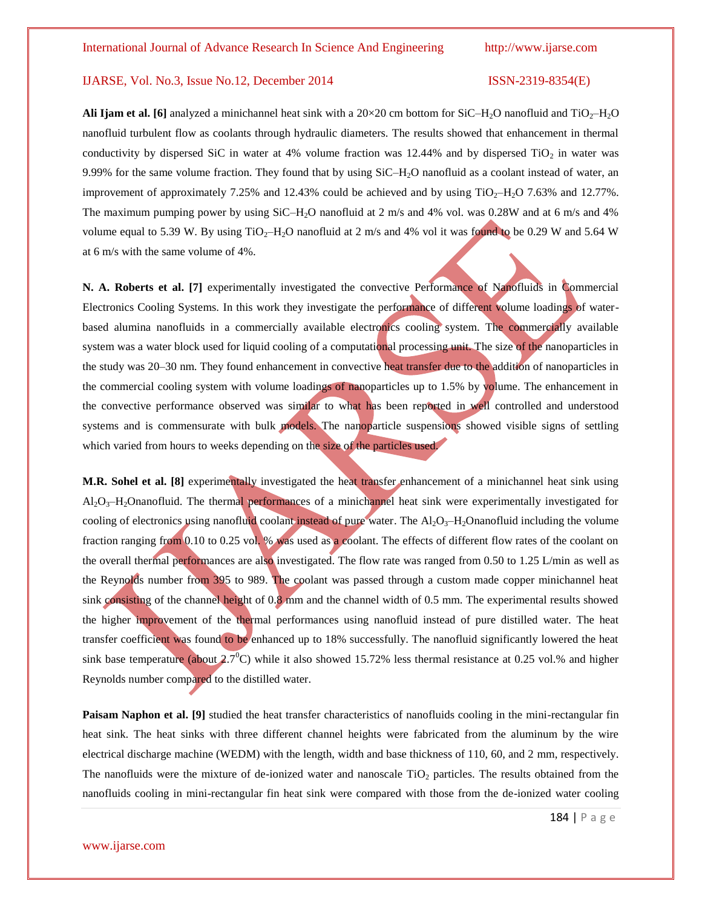**Ali Ijam et al. [6]** analyzed a minichannel heat sink with a  $20 \times 20$  cm bottom for SiC–H<sub>2</sub>O nanofluid and TiO<sub>2</sub>–H<sub>2</sub>O nanofluid turbulent flow as coolants through hydraulic diameters. The results showed that enhancement in thermal conductivity by dispersed SiC in water at 4% volume fraction was 12.44% and by dispersed  $TiO<sub>2</sub>$  in water was 9.99% for the same volume fraction. They found that by using SiC–H<sub>2</sub>O nanofluid as a coolant instead of water, an improvement of approximately 7.25% and 12.43% could be achieved and by using  $TiO<sub>2</sub>–H<sub>2</sub>O$  7.63% and 12.77%. The maximum pumping power by using SiC–H2O nanofluid at 2 m/s and 4% vol. was 0.28W and at 6 m/s and 4% volume equal to 5.39 W. By using  $TiO<sub>2</sub>-H<sub>2</sub>O$  nanofluid at 2 m/s and 4% vol it was found to be 0.29 W and 5.64 W at 6 m/s with the same volume of 4%.

**N. A. Roberts et al. [7]** experimentally investigated the convective Performance of Nanofluids in Commercial Electronics Cooling Systems. In this work they investigate the performance of different volume loadings of waterbased alumina nanofluids in a commercially available electronics cooling system. The commercially available system was a water block used for liquid cooling of a computational processing unit. The size of the nanoparticles in the study was 20–30 nm. They found enhancement in convective heat transfer due to the addition of nanoparticles in the commercial cooling system with volume loadings of nanoparticles up to 1.5% by volume. The enhancement in the convective performance observed was similar to what has been reported in well controlled and understood systems and is commensurate with bulk models. The nanoparticle suspensions showed visible signs of settling which varied from hours to weeks depending on the size of the particles used.

**M.R. Sohel et al. [8]** experimentally investigated the heat transfer enhancement of a minichannel heat sink using  $Al_2O_3-H_2O$ nanofluid. The thermal performances of a minichannel heat sink were experimentally investigated for cooling of electronics using nanofluid coolant instead of pure water. The  $A_1O_3-H_2O$ nanofluid including the volume fraction ranging from 0.10 to 0.25 vol. % was used as a coolant. The effects of different flow rates of the coolant on the overall thermal performances are also investigated. The flow rate was ranged from 0.50 to 1.25 L/min as well as the Reynolds number from 395 to 989. The coolant was passed through a custom made copper minichannel heat sink consisting of the channel height of 0.8 mm and the channel width of 0.5 mm. The experimental results showed the higher improvement of the thermal performances using nanofluid instead of pure distilled water. The heat transfer coefficient was found to be enhanced up to 18% successfully. The nanofluid significantly lowered the heat sink base temperature (about  $2.7^{\circ}$ C) while it also showed 15.72% less thermal resistance at 0.25 vol.% and higher Reynolds number compared to the distilled water.

**Paisam Naphon et al. [9]** studied the heat transfer characteristics of nanofluids cooling in the mini-rectangular fin heat sink. The heat sinks with three different channel heights were fabricated from the aluminum by the wire electrical discharge machine (WEDM) with the length, width and base thickness of 110, 60, and 2 mm, respectively. The nanofluids were the mixture of de-ionized water and nanoscale  $TiO<sub>2</sub>$  particles. The results obtained from the nanofluids cooling in mini-rectangular fin heat sink were compared with those from the de-ionized water cooling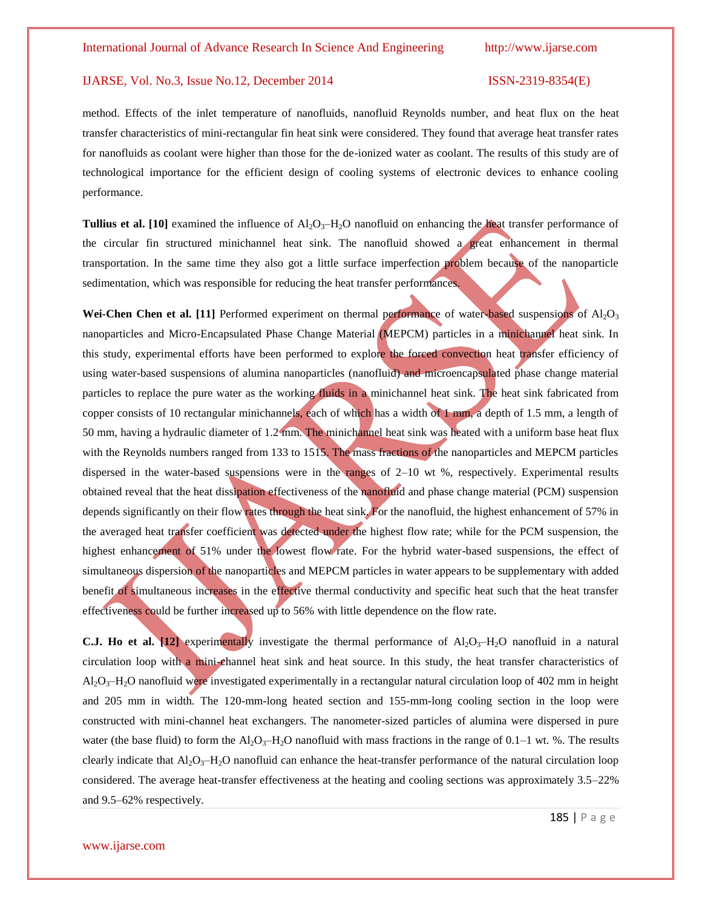method. Effects of the inlet temperature of nanofluids, nanofluid Reynolds number, and heat flux on the heat transfer characteristics of mini-rectangular fin heat sink were considered. They found that average heat transfer rates for nanofluids as coolant were higher than those for the de-ionized water as coolant. The results of this study are of technological importance for the efficient design of cooling systems of electronic devices to enhance cooling performance.

**Tullius et al.** [10] examined the influence of  $A1_2O_3$ –H<sub>2</sub>O nanofluid on enhancing the heat transfer performance of the circular fin structured minichannel heat sink. The nanofluid showed a great enhancement in thermal transportation. In the same time they also got a little surface imperfection problem because of the nanoparticle sedimentation, which was responsible for reducing the heat transfer performances.

**Wei-Chen Chen et al. [11]** Performed experiment on thermal performance of water-based suspensions of  $\text{Al}_2\text{O}_3$ nanoparticles and Micro-Encapsulated Phase Change Material (MEPCM) particles in a minichannel heat sink. In this study, experimental efforts have been performed to explore the forced convection heat transfer efficiency of using water-based suspensions of alumina nanoparticles (nanofluid) and microencapsulated phase change material particles to replace the pure water as the working fluids in a minichannel heat sink. The heat sink fabricated from copper consists of 10 rectangular minichannels, each of which has a width of 1 mm, a depth of 1.5 mm, a length of 50 mm, having a hydraulic diameter of 1.2 mm. The minichannel heat sink was heated with a uniform base heat flux with the Reynolds numbers ranged from 133 to 1515. The mass fractions of the nanoparticles and MEPCM particles dispersed in the water-based suspensions were in the ranges of 2–10 wt %, respectively. Experimental results obtained reveal that the heat dissipation effectiveness of the nanofluid and phase change material (PCM) suspension depends significantly on their flow rates through the heat sink. For the nanofluid, the highest enhancement of 57% in the averaged heat transfer coefficient was detected under the highest flow rate; while for the PCM suspension, the highest enhancement of 51% under the lowest flow rate. For the hybrid water-based suspensions, the effect of simultaneous dispersion of the nanoparticles and MEPCM particles in water appears to be supplementary with added benefit of simultaneous increases in the effective thermal conductivity and specific heat such that the heat transfer effectiveness could be further increased up to 56% with little dependence on the flow rate.

**C.J. Ho et al.**  $[12]$  experimentally investigate the thermal performance of  $Al_2O_3-H_2O$  nanofluid in a natural circulation loop with a mini-channel heat sink and heat source. In this study, the heat transfer characteristics of  $AI_2O_3-H_2O$  nanofluid were investigated experimentally in a rectangular natural circulation loop of 402 mm in height and 205 mm in width. The 120-mm-long heated section and 155-mm-long cooling section in the loop were constructed with mini-channel heat exchangers. The nanometer-sized particles of alumina were dispersed in pure water (the base fluid) to form the  $Al_2O_3-H_2O$  nanofluid with mass fractions in the range of 0.1–1 wt. %. The results clearly indicate that  $A_1O_3$ –H<sub>2</sub>O nanofluid can enhance the heat-transfer performance of the natural circulation loop considered. The average heat-transfer effectiveness at the heating and cooling sections was approximately 3.5–22% and 9.5–62% respectively.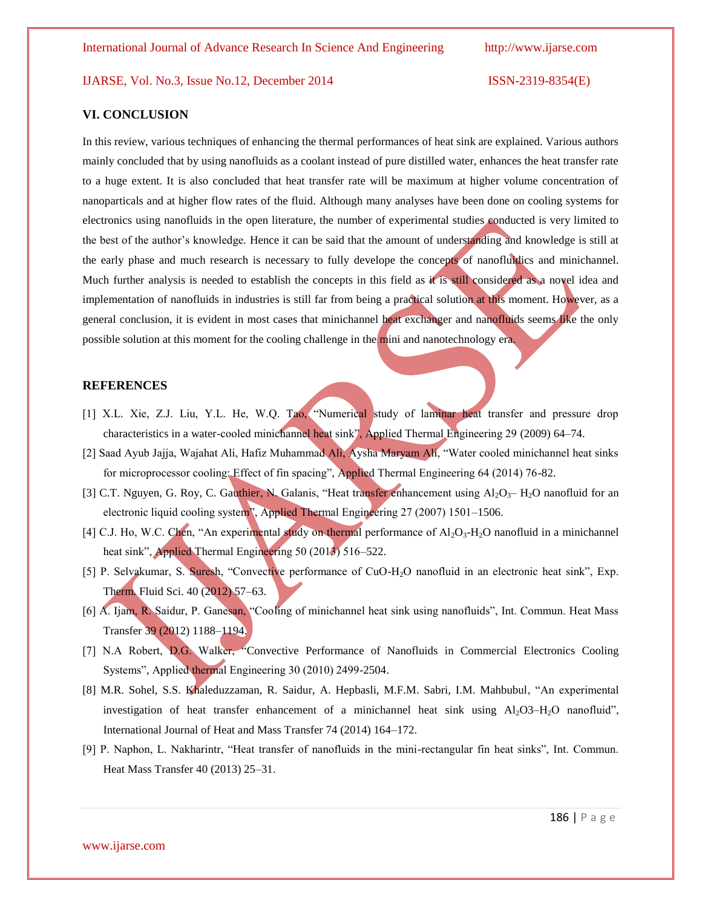### **VI. CONCLUSION**

In this review, various techniques of enhancing the thermal performances of heat sink are explained. Various authors mainly concluded that by using nanofluids as a coolant instead of pure distilled water, enhances the heat transfer rate to a huge extent. It is also concluded that heat transfer rate will be maximum at higher volume concentration of nanoparticals and at higher flow rates of the fluid. Although many analyses have been done on cooling systems for electronics using nanofluids in the open literature, the number of experimental studies conducted is very limited to the best of the author's knowledge. Hence it can be said that the amount of understanding and knowledge is still at the early phase and much research is necessary to fully develope the concepts of nanofluidics and minichannel. Much further analysis is needed to establish the concepts in this field as it is still considered as a novel idea and implementation of nanofluids in industries is still far from being a practical solution at this moment. However, as a general conclusion, it is evident in most cases that minichannel heat exchanger and nanofluids seems like the only possible solution at this moment for the cooling challenge in the mini and nanotechnology era.

#### **REFERENCES**

- [1] X.L. Xie, Z.J. Liu, Y.L. He, W.Q. Tao, "Numerical study of laminar heat transfer and pressure drop characteristics in a water-cooled minichannel heat sink", Applied Thermal Engineering 29 (2009) 64–74.
- [2] Saad Ayub Jajja, Wajahat Ali, Hafiz Muhammad Ali, Aysha Maryam Ali, "Water cooled minichannel heat sinks for microprocessor cooling: Effect of fin spacing", Applied Thermal Engineering 64 (2014) 76-82.
- [3] C.T. Nguyen, G. Roy, C. Gauthier, N. Galanis, "Heat transfer enhancement using  $Al_2O_3$  H<sub>2</sub>O nanofluid for an electronic liquid cooling system", Applied Thermal Engineering 27 (2007) 1501–1506.
- [4] C.J. Ho, W.C. Chen, "An experimental study on thermal performance of  $Al_2O_3-H_2O$  nanofluid in a minichannel heat sink", Applied Thermal Engineering 50 (2013) 516–522.
- [5] P. Selvakumar, S. Suresh, "Convective performance of CuO-H2O nanofluid in an electronic heat sink", Exp. Therm. Fluid Sci. 40 (2012) 57–63.
- [6] A. Ijam, R. Saidur, P. Ganesan, "Cooling of minichannel heat sink using nanofluids", Int. Commun. Heat Mass Transfer 39 (2012) 1188–1194.
- [7] N.A Robert, D.G. Walker, "Convective Performance of Nanofluids in Commercial Electronics Cooling Systems", Applied thermal Engineering 30 (2010) 2499-2504.
- [8] M.R. Sohel, S.S. Khaleduzzaman, R. Saidur, A. Hepbasli, M.F.M. Sabri, I.M. Mahbubul, "An experimental investigation of heat transfer enhancement of a minichannel heat sink using  $Al_2O3-H_2O$  nanofluid", International Journal of Heat and Mass Transfer 74 (2014) 164–172.
- [9] P. Naphon, L. Nakharintr, "Heat transfer of nanofluids in the mini-rectangular fin heat sinks", Int. Commun. Heat Mass Transfer 40 (2013) 25–31.